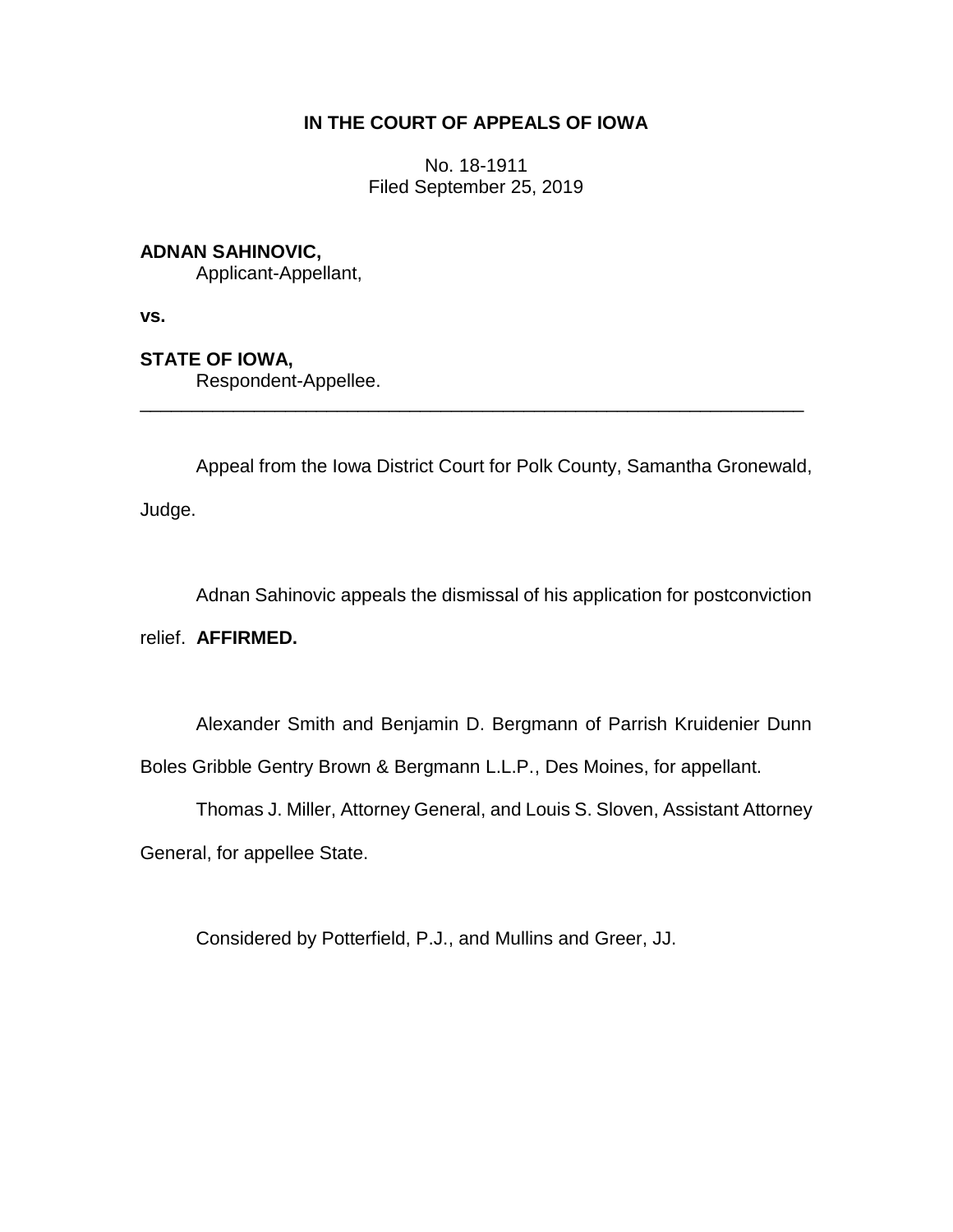## **IN THE COURT OF APPEALS OF IOWA**

No. 18-1911 Filed September 25, 2019

## **ADNAN SAHINOVIC,**

Applicant-Appellant,

**vs.**

## **STATE OF IOWA,**

Respondent-Appellee.

Appeal from the Iowa District Court for Polk County, Samantha Gronewald, Judge.

\_\_\_\_\_\_\_\_\_\_\_\_\_\_\_\_\_\_\_\_\_\_\_\_\_\_\_\_\_\_\_\_\_\_\_\_\_\_\_\_\_\_\_\_\_\_\_\_\_\_\_\_\_\_\_\_\_\_\_\_\_\_\_\_

Adnan Sahinovic appeals the dismissal of his application for postconviction

relief. **AFFIRMED.**

Alexander Smith and Benjamin D. Bergmann of Parrish Kruidenier Dunn

Boles Gribble Gentry Brown & Bergmann L.L.P., Des Moines, for appellant.

Thomas J. Miller, Attorney General, and Louis S. Sloven, Assistant Attorney General, for appellee State.

Considered by Potterfield, P.J., and Mullins and Greer, JJ.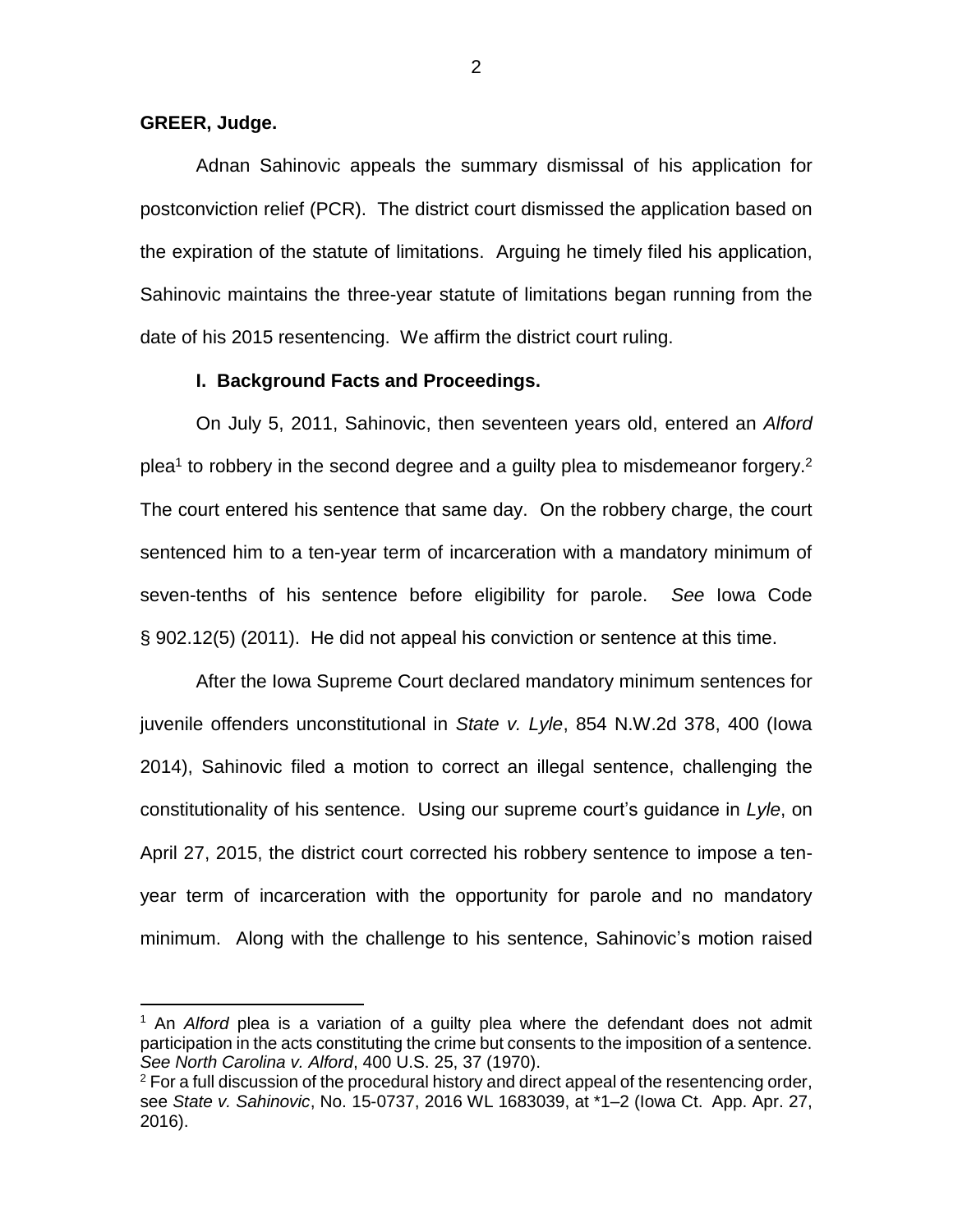### **GREER, Judge.**

 $\overline{a}$ 

Adnan Sahinovic appeals the summary dismissal of his application for postconviction relief (PCR). The district court dismissed the application based on the expiration of the statute of limitations. Arguing he timely filed his application, Sahinovic maintains the three-year statute of limitations began running from the date of his 2015 resentencing. We affirm the district court ruling.

#### **I. Background Facts and Proceedings.**

On July 5, 2011, Sahinovic, then seventeen years old, entered an *Alford* plea<sup>1</sup> to robbery in the second degree and a guilty plea to misdemeanor forgery.<sup>2</sup> The court entered his sentence that same day. On the robbery charge, the court sentenced him to a ten-year term of incarceration with a mandatory minimum of seven-tenths of his sentence before eligibility for parole. *See* Iowa Code § 902.12(5) (2011). He did not appeal his conviction or sentence at this time.

After the Iowa Supreme Court declared mandatory minimum sentences for juvenile offenders unconstitutional in *State v. Lyle*, 854 N.W.2d 378, 400 (Iowa 2014), Sahinovic filed a motion to correct an illegal sentence, challenging the constitutionality of his sentence. Using our supreme court's guidance in *Lyle*, on April 27, 2015, the district court corrected his robbery sentence to impose a tenyear term of incarceration with the opportunity for parole and no mandatory minimum. Along with the challenge to his sentence, Sahinovic's motion raised

2

<sup>&</sup>lt;sup>1</sup> An *Alford* plea is a variation of a guilty plea where the defendant does not admit participation in the acts constituting the crime but consents to the imposition of a sentence. *See North Carolina v. Alford*, 400 U.S. 25, 37 (1970).

 $2$  For a full discussion of the procedural history and direct appeal of the resentencing order, see *State v. Sahinovic*, No. 15-0737, 2016 WL 1683039, at \*1–2 (Iowa Ct. App. Apr. 27, 2016).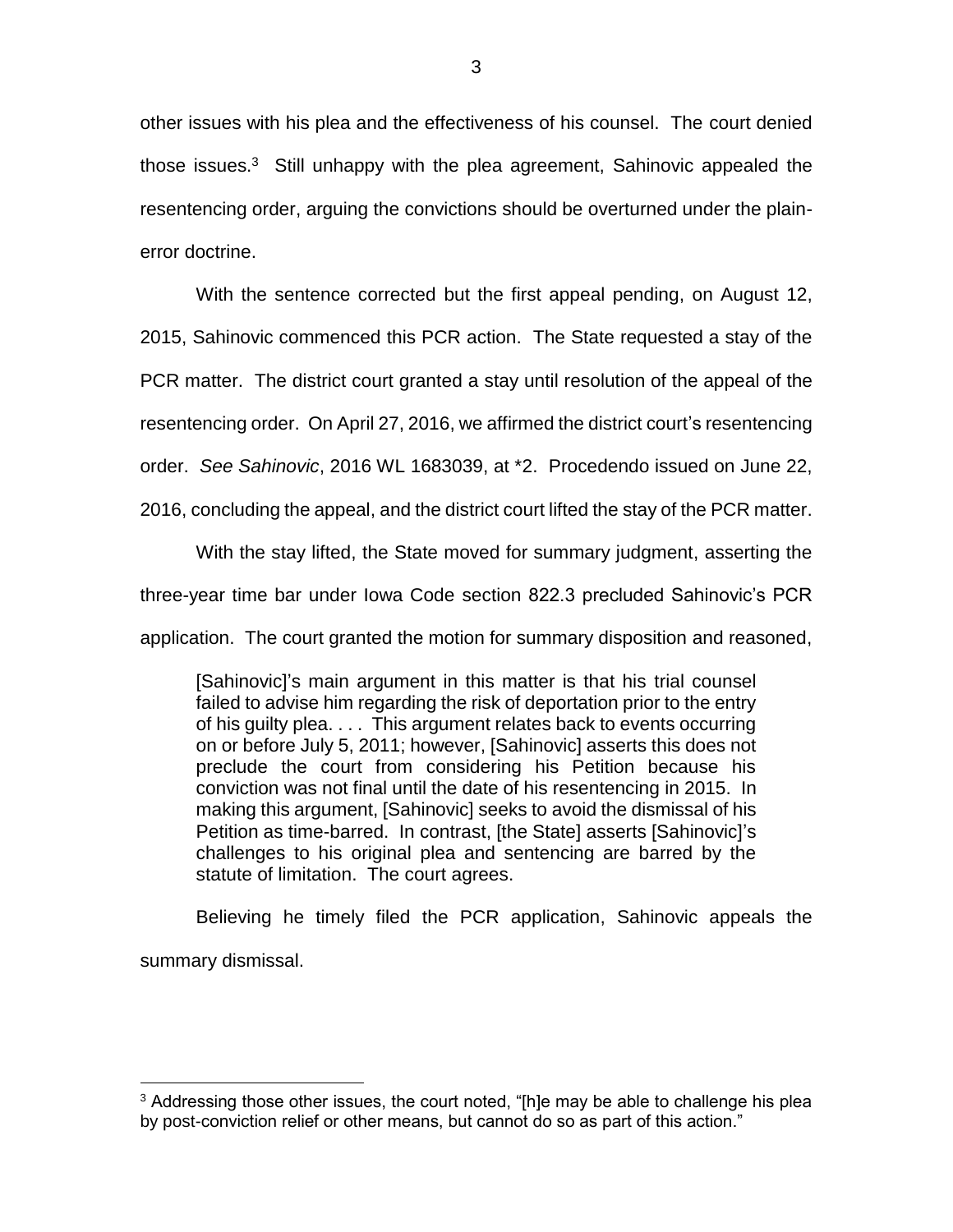other issues with his plea and the effectiveness of his counsel. The court denied those issues.<sup>3</sup> Still unhappy with the plea agreement, Sahinovic appealed the resentencing order, arguing the convictions should be overturned under the plainerror doctrine.

With the sentence corrected but the first appeal pending, on August 12,

2015, Sahinovic commenced this PCR action. The State requested a stay of the

PCR matter. The district court granted a stay until resolution of the appeal of the

resentencing order. On April 27, 2016, we affirmed the district court's resentencing

order. *See Sahinovic*, 2016 WL 1683039, at \*2. Procedendo issued on June 22,

2016, concluding the appeal, and the district court lifted the stay of the PCR matter.

With the stay lifted, the State moved for summary judgment, asserting the

three-year time bar under Iowa Code section 822.3 precluded Sahinovic's PCR

application. The court granted the motion for summary disposition and reasoned,

[Sahinovic]'s main argument in this matter is that his trial counsel failed to advise him regarding the risk of deportation prior to the entry of his guilty plea. . . . This argument relates back to events occurring on or before July 5, 2011; however, [Sahinovic] asserts this does not preclude the court from considering his Petition because his conviction was not final until the date of his resentencing in 2015. In making this argument, [Sahinovic] seeks to avoid the dismissal of his Petition as time-barred. In contrast, [the State] asserts [Sahinovic]'s challenges to his original plea and sentencing are barred by the statute of limitation. The court agrees.

Believing he timely filed the PCR application, Sahinovic appeals the summary dismissal.

 $\overline{a}$ 

<sup>&</sup>lt;sup>3</sup> Addressing those other issues, the court noted, "[h]e may be able to challenge his plea by post-conviction relief or other means, but cannot do so as part of this action."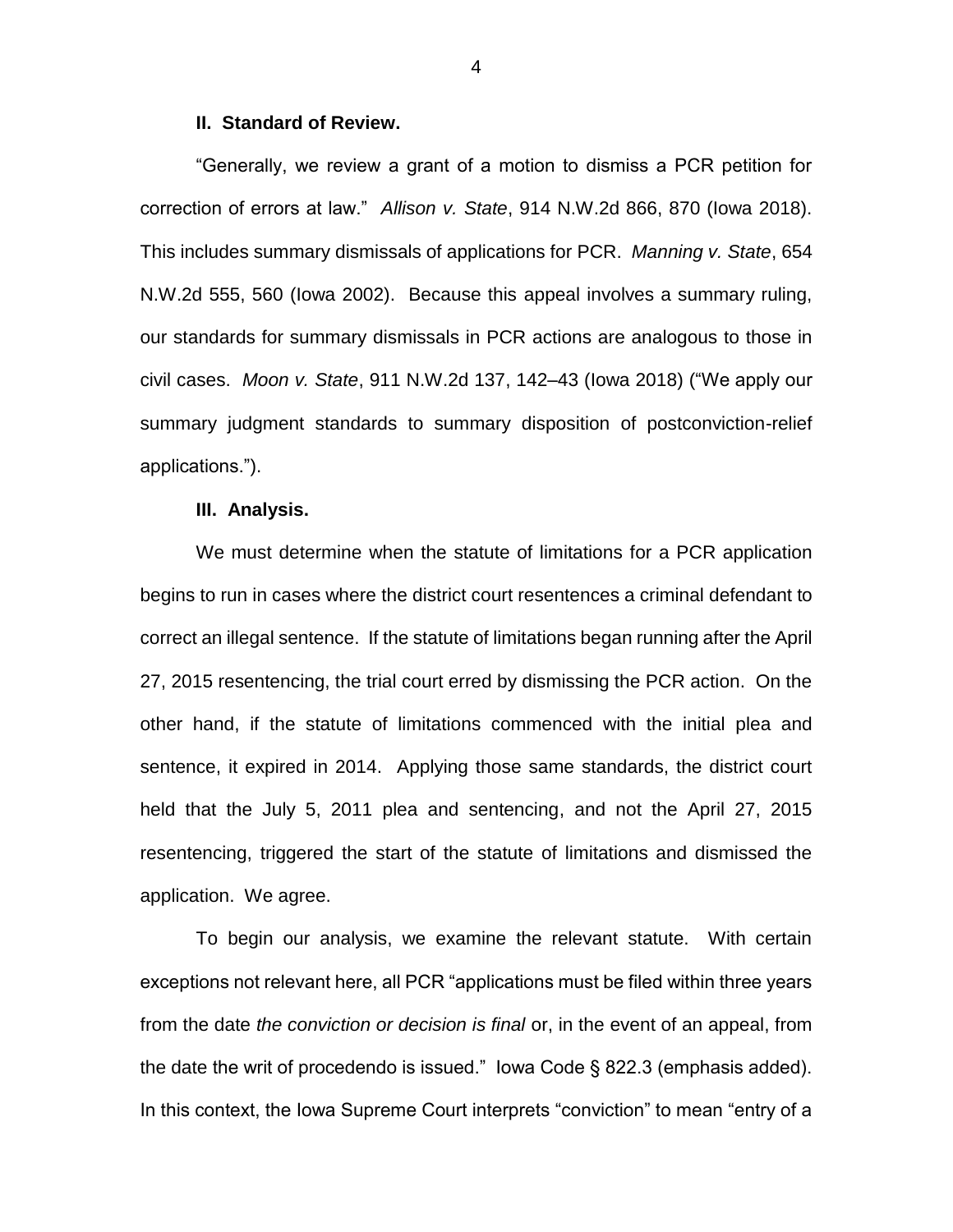#### **II. Standard of Review.**

"Generally, we review a grant of a motion to dismiss a PCR petition for correction of errors at law." *Allison v. State*, 914 N.W.2d 866, 870 (Iowa 2018). This includes summary dismissals of applications for PCR. *Manning v. State*, 654 N.W.2d 555, 560 (Iowa 2002). Because this appeal involves a summary ruling, our standards for summary dismissals in PCR actions are analogous to those in civil cases. *Moon v. State*, 911 N.W.2d 137, 142–43 (Iowa 2018) ("We apply our summary judgment standards to summary disposition of postconviction-relief applications.").

#### **III. Analysis.**

We must determine when the statute of limitations for a PCR application begins to run in cases where the district court resentences a criminal defendant to correct an illegal sentence. If the statute of limitations began running after the April 27, 2015 resentencing, the trial court erred by dismissing the PCR action. On the other hand, if the statute of limitations commenced with the initial plea and sentence, it expired in 2014. Applying those same standards, the district court held that the July 5, 2011 plea and sentencing, and not the April 27, 2015 resentencing, triggered the start of the statute of limitations and dismissed the application. We agree.

To begin our analysis, we examine the relevant statute. With certain exceptions not relevant here, all PCR "applications must be filed within three years from the date *the conviction or decision is final* or, in the event of an appeal, from the date the writ of procedendo is issued." Iowa Code § 822.3 (emphasis added). In this context, the Iowa Supreme Court interprets "conviction" to mean "entry of a

4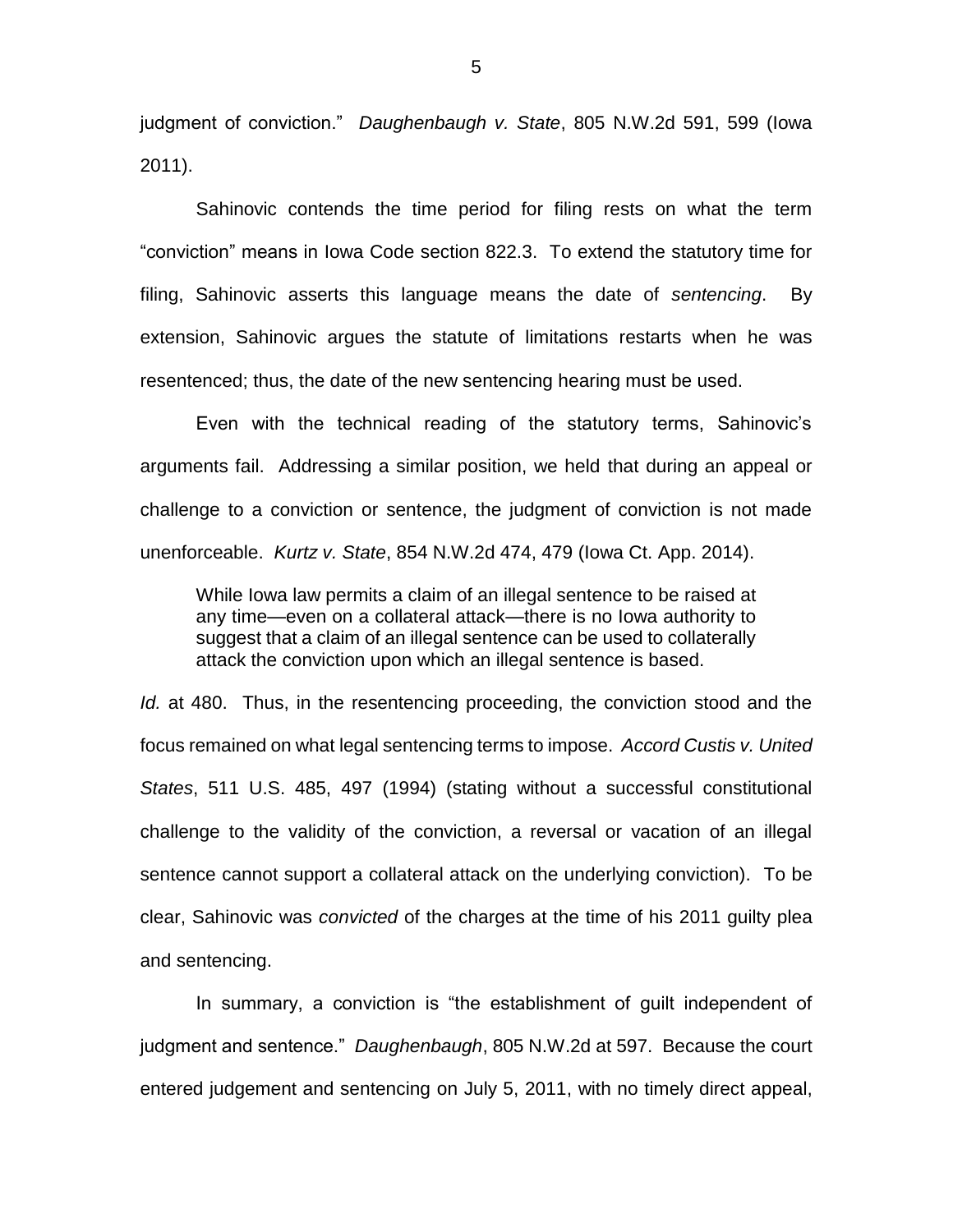judgment of conviction." *Daughenbaugh v. State*, 805 N.W.2d 591, 599 (Iowa 2011).

Sahinovic contends the time period for filing rests on what the term "conviction" means in Iowa Code section 822.3. To extend the statutory time for filing, Sahinovic asserts this language means the date of *sentencing*. By extension, Sahinovic argues the statute of limitations restarts when he was resentenced; thus, the date of the new sentencing hearing must be used.

Even with the technical reading of the statutory terms, Sahinovic's arguments fail. Addressing a similar position, we held that during an appeal or challenge to a conviction or sentence, the judgment of conviction is not made unenforceable. *Kurtz v. State*, 854 N.W.2d 474, 479 (Iowa Ct. App. 2014).

While Iowa law permits a claim of an illegal sentence to be raised at any time—even on a collateral attack—there is no Iowa authority to suggest that a claim of an illegal sentence can be used to collaterally attack the conviction upon which an illegal sentence is based.

*Id.* at 480. Thus, in the resentencing proceeding, the conviction stood and the focus remained on what legal sentencing terms to impose. *Accord Custis v. United States*, 511 U.S. 485, 497 (1994) (stating without a successful constitutional challenge to the validity of the conviction, a reversal or vacation of an illegal sentence cannot support a collateral attack on the underlying conviction). To be clear, Sahinovic was *convicted* of the charges at the time of his 2011 guilty plea and sentencing.

In summary, a conviction is "the establishment of guilt independent of judgment and sentence." *Daughenbaugh*, 805 N.W.2d at 597. Because the court entered judgement and sentencing on July 5, 2011, with no timely direct appeal,